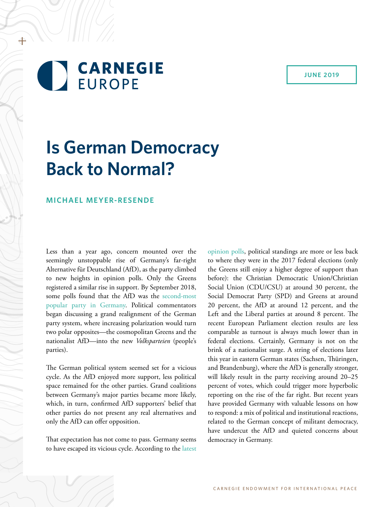### **JUNE 2019**

# **CARNEGIE EUROPE**

+

# **Is German Democracy Back to Normal?**

### **MICHAEL MEYER-RESENDE**

Less than a year ago, concern mounted over the seemingly unstoppable rise of Germany's far-right Alternative für Deutschland (AfD), as the party climbed to new heights in opinion polls. Only the Greens registered a similar rise in support. By September 2018, some polls found that the AfD was the [second-most](https://www.tagesschau.de/inland/deutschlandtrend-1381.html)  [popular party in Germany.](https://www.tagesschau.de/inland/deutschlandtrend-1381.html) Political commentators began discussing a grand realignment of the German party system, where increasing polarization would turn two polar opposites—the cosmopolitan Greens and the nationalist AfD—into the new *Volksparteien* (people's parties).

The German political system seemed set for a vicious cycle. As the AfD enjoyed more support, less political space remained for the other parties. Grand coalitions between Germany's major parties became more likely, which, in turn, confirmed AfD supporters' belief that other parties do not present any real alternatives and only the AfD can offer opposition.

That expectation has not come to pass. Germany seems to have escaped its vicious cycle. According to the [latest](https://www.wahlrecht.de/umfragen/)  [opinion polls](https://www.wahlrecht.de/umfragen/), political standings are more or less back to where they were in the 2017 federal elections (only the Greens still enjoy a higher degree of support than before): the Christian Democratic Union/Christian Social Union (CDU/CSU) at around 30 percent, the Social Democrat Party (SPD) and Greens at around 20 percent, the AfD at around 12 percent, and the Left and the Liberal parties at around 8 percent. The recent European Parliament election results are less comparable as turnout is always much lower than in federal elections. Certainly, Germany is not on the brink of a nationalist surge. A string of elections later this year in eastern German states (Sachsen, Thüringen, and Brandenburg), where the AfD is generally stronger, will likely result in the party receiving around 20–25 percent of votes, which could trigger more hyperbolic reporting on the rise of the far right. But recent years have provided Germany with valuable lessons on how to respond: a mix of political and institutional reactions, related to the German concept of militant democracy, have undercut the AfD and quieted concerns about democracy in Germany.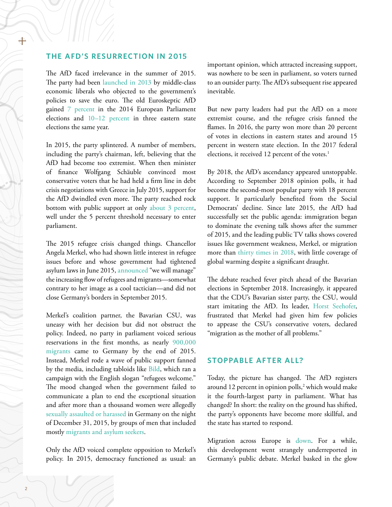#### **THE AFD'S RESURRECTION IN 2015**

The AfD faced irrelevance in the summer of 2015. The party had been [launched in 2013](https://www.kai-arzheimer.com/afd-right-wing-populist-eurosceptic-germany.pdf) by middle-class economic liberals who objected to the government's policies to save the euro. The old Euroskeptic AfD gained [7 percent](https://de.statista.com/themen/3260/afd/) in the 2014 European Parliament elections and [10–12 percent](https://de.statista.com/themen/3260/afd/) in three eastern state elections the same year.

In 2015, the party splintered. A number of members, including the party's chairman, left, believing that the AfD had become too extremist. When then minister of finance Wolfgang Schäuble convinced most conservative voters that he had held a firm line in debt crisis negotiations with Greece in July 2015, support for the AfD dwindled even more. The party reached rock bottom with public support at only [about 3 percent](https://www.stern.de/politik/deutschland/afd--alle-umfragewerte-der-rechtspopulisten-seit-ihrer-gruendung-2013-6657938.html), well under the 5 percent threshold necessary to enter parliament.

The 2015 refugee crisis changed things. Chancellor Angela Merkel, who had shown little interest in refugee issues before and whose government had tightened asylum laws in June 2015, [announced](https://www.politico.eu/article/the-phrase-that-haunts-angela-merkel/) "we will manage" the increasing flow of refugees and migrants—somewhat contrary to her image as a cool tactician—and did not close Germany's borders in September 2015.

Merkel's coalition partner, the Bavarian CSU, was uneasy with her decision but did not obstruct the policy. Indeed, no party in parliament voiced serious reservations in the first months, as nearly [900,000](https://www.welt.de/politik/deutschland/article158465433/Deutschland-korrigiert-Fluechtlingszahl-fuer-2015.html) [migrants](https://www.welt.de/politik/deutschland/article158465433/Deutschland-korrigiert-Fluechtlingszahl-fuer-2015.html) came to Germany by the end of 2015. Instead, Merkel rode a wave of public support fanned by the media, including tabloids like [Bild,](https://www.bloomberg.com/news/articles/2015-12-08/how-germany-s-right-wing-tabloid-learned-to-love-refugees) which ran a campaign with the English slogan "refugees welcome." The mood changed when the government failed to communicate a plan to end the exceptional situation and after more than a thousand women were allegedly [sexually assaulted or harassed](https://www.washingtonpost.com/news/worldviews/wp/2016/07/10/leaked-document-says-2000-men-allegedly-assaulted-1200-german-women-on-new-years-eve/?utm_term=.fe4226994b79) in Germany on the night of December 31, 2015, by groups of men that included mostly [migrants and asylum seekers.](https://www.nytimes.com/2016/01/15/world/europe/as-germany-welcomes-migrantssexual-attacks-in-cologne-point-to-a-new-reality.html)

Only the AfD voiced complete opposition to Merkel's policy. In 2015, democracy functioned as usual: an

important opinion, which attracted increasing support, was nowhere to be seen in parliament, so voters turned to an outsider party. The AfD's subsequent rise appeared inevitable.

But new party leaders had put the AfD on a more extremist course, and the refugee crisis fanned the flames. In 2016, the party won more than 20 percent of votes in elections in eastern states and around 15 percent in western state election. In the 2017 federal elections, it received 12 percent of the votes.<sup>1</sup>

By 2018, the AfD's ascendancy appeared unstoppable. According to September 2018 opinion polls, it had become the second-most popular party with 18 percent support. It particularly benefited from the Social Democrats' decline. Since late 2015, the AfD had successfully set the public agenda: immigration began to dominate the evening talk shows after the summer of 2015, and the leading public TV talks shows covered issues like government weakness, Merkel, or migration more than [thirty times in 2018](https://de.statista.com/statistik/daten/studie/954713/umfrage/am-meisten-diskutierte-themen-in-den-talkshows-von-ard-und-zdf/), with little coverage of global warming despite a significant draught.

The debate reached fever pitch ahead of the Bavarian elections in September 2018. Increasingly, it appeared that the CDU's Bavarian sister party, the CSU, would start imitating the AfD. Its leader, [Horst Seehofer](https://www.tagesschau.de/inland/seehofer-migration-mutter-aller-probleme-101.html), frustrated that Merkel had given him few policies to appease the CSU's conservative voters, declared "migration as the mother of all problems."

#### **STOPPABLE AFTER ALL?**

Today, the picture has changed. The AfD registers around 12 percent in opinion polls,<sup>2</sup> which would make it the fourth-largest party in parliament. What has changed? In short: the reality on the ground has shifted, the party's opponents have become more skillful, and the state has started to respond.

Migration across Europe is [down.](https://www.bbc.com/news/world-europe-46764500) For a while, this development went strangely underreported in Germany's public debate. Merkel basked in the glow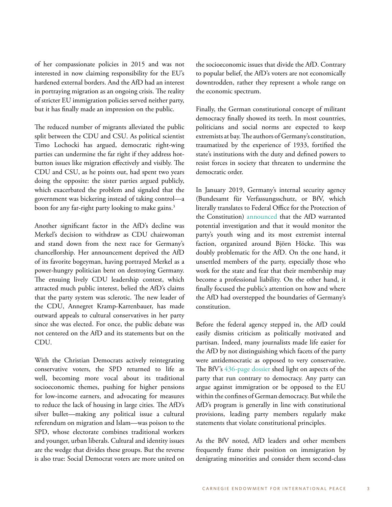of her compassionate policies in 2015 and was not interested in now claiming responsibility for the EU's hardened external borders. And the AfD had an interest in portraying migration as an ongoing crisis. The reality of stricter EU immigration policies served neither party, but it has finally made an impression on the public.

The reduced number of migrants alleviated the public split between the CDU and CSU. As political scientist Timo Lochocki has argued, democratic right-wing parties can undermine the far right if they address hotbutton issues like migration effectively and visibly. The CDU and CSU, as he points out, had spent two years doing the opposite: the sister parties argued publicly, which exacerbated the problem and signaled that the government was bickering instead of taking control—a boon for any far-right party looking to make gains.<sup>3</sup>

Another significant factor in the AfD's decline was Merkel's decision to withdraw as CDU chairwoman and stand down from the next race for Germany's chancellorship. Her announcement deprived the AfD of its favorite bogeyman, having portrayed Merkel as a power-hungry politician bent on destroying Germany. The ensuing lively CDU leadership contest, which attracted much public interest, belied the AfD's claims that the party system was sclerotic. The new leader of the CDU, Annegret Kramp-Karrenbauer, has made outward appeals to cultural conservatives in her party since she was elected. For once, the public debate was not centered on the AfD and its statements but on the CDU.

With the Christian Democrats actively reintegrating conservative voters, the SPD returned to life as well, becoming more vocal about its traditional socioeconomic themes, pushing for higher pensions for low-income earners, and advocating for measures to reduce the lack of housing in large cities. The AfD's silver bullet—making any political issue a cultural referendum on migration and Islam—was poison to the SPD, whose electorate combines traditional workers and younger, urban liberals. Cultural and identity issues are the wedge that divides these groups. But the reverse is also true: Social Democrat voters are more united on

the socioeconomic issues that divide the AfD. Contrary to popular belief, the AfD's voters are not economically downtrodden, rather they represent a whole range on the economic spectrum.

Finally, the German constitutional concept of militant democracy finally showed its teeth. In most countries, politicians and social norms are expected to keep extremists at bay. The authors of Germany's constitution, traumatized by the experience of 1933, fortified the state's institutions with the duty and defined powers to resist forces in society that threaten to undermine the democratic order.

In January 2019, Germany's internal security agency (Bundesamt für Verfassungsschutz, or BfV, which literally translates to Federal Office for the Protection of the Constitution) [announced](https://www.theguardian.com/world/2019/jan/15/extreme-right-wing-germany-afd-under-surveillance) that the AfD warranted potential investigation and that it would monitor the party's youth wing and its most extremist internal faction, organized around Björn Höcke. This was doubly problematic for the AfD. On the one hand, it unsettled members of the party, especially those who work for the state and fear that their membership may become a professional liability. On the other hand, it finally focused the public's attention on how and where the AfD had overstepped the boundaries of Germany's constitution.

Before the federal agency stepped in, the AfD could easily dismiss criticism as politically motivated and partisan. Indeed, many journalists made life easier for the AfD by not distinguishing which facets of the party were antidemocratic as opposed to very conservative. The BfV's [436-page dossier](https://netzpolitik.org/2019/wir-veroeffentlichen-das-verfassungsschutz-gutachten-zur-afd/#2019-01-15_BfV-AfD-Gutachten_C-I-4.1.2) shed light on aspects of the party that run contrary to democracy. Any party can argue against immigration or be opposed to the EU within the confines of German democracy. But while the AfD's program is generally in line with constitutional provisions, leading party members regularly make statements that violate constitutional principles.

As the BfV noted, AfD leaders and other members frequently frame their position on immigration by denigrating minorities and consider them second-class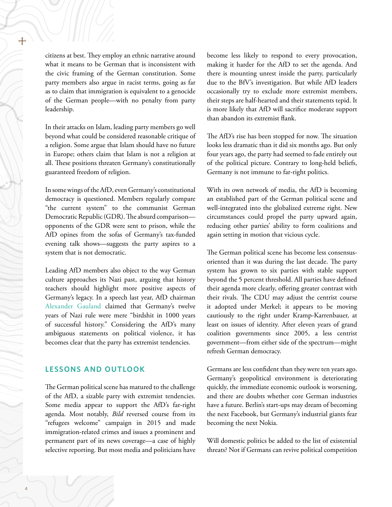citizens at best. They employ an ethnic narrative around what it means to be German that is inconsistent with the civic framing of the German constitution. Some party members also argue in racist terms, going as far as to claim that immigration is equivalent to a genocide of the German people—with no penalty from party leadership.

In their attacks on Islam, leading party members go well beyond what could be considered reasonable critique of a religion. Some argue that Islam should have no future in Europe; others claim that Islam is not a religion at all. These positions threaten Germany's constitutionally guaranteed freedom of religion.

In some wings of the AfD, even Germany's constitutional democracy is questioned. Members regularly compare "the current system" to the communist German Democratic Republic (GDR). The absurd comparison opponents of the GDR were sent to prison, while the AfD opines from the sofas of Germany's tax-funded evening talk shows—suggests the party aspires to a system that is not democratic.

Leading AfD members also object to the way German culture approaches its Nazi past, arguing that history teachers should highlight more positive aspects of Germany's legacy. In a speech last year, AfD chairman [Alexander Gauland](https://www.dw.com/en/afds-gauland-plays-down-nazi-era-as-a-bird-shit-in-german-history/a-44055213) claimed that Germany's twelve years of Nazi rule were mere "birdshit in 1000 years of successful history." Considering the AfD's many ambiguous statements on political violence, it has becomes clear that the party has extremist tendencies.

#### **LESSONS AND OUTLOOK**

The German political scene has matured to the challenge of the AfD, a sizable party with extremist tendencies. Some media appear to support the AfD's far-right agenda. Most notably, *Bild* reversed course from its "refugees welcome" campaign in 2015 and made immigration-related crimes and issues a prominent and permanent part of its news coverage—a case of highly selective reporting. But most media and politicians have

become less likely to respond to every provocation, making it harder for the AfD to set the agenda. And there is mounting unrest inside the party, particularly due to the BfV's investigation. But while AfD leaders occasionally try to exclude more extremist members, their steps are half-hearted and their statements tepid. It is more likely that AfD will sacrifice moderate support than abandon its extremist flank.

The AfD's rise has been stopped for now. The situation looks less dramatic than it did six months ago. But only four years ago, the party had seemed to fade entirely out of the political picture. Contrary to long-held beliefs, Germany is not immune to far-right politics.

With its own network of media, the AfD is becoming an established part of the German political scene and well-integrated into the globalized extreme right. New circumstances could propel the party upward again, reducing other parties' ability to form coalitions and again setting in motion that vicious cycle.

The German political scene has become less consensusoriented than it was during the last decade. The party system has grown to six parties with stable support beyond the 5 percent threshold. All parties have defined their agenda more clearly, offering greater contrast with their rivals. The CDU may adjust the centrist course it adopted under Merkel; it appears to be moving cautiously to the right under Kramp-Karrenbauer, at least on issues of identity. After eleven years of grand coalition governments since 2005, a less centrist government—from either side of the spectrum—might refresh German democracy.

Germans are less confident than they were ten years ago. Germany's geopolitical environment is deteriorating quickly, the immediate economic outlook is worsening, and there are doubts whether core German industries have a future. Berlin's start-ups may dream of becoming the next Facebook, but Germany's industrial giants fear becoming the next Nokia.

Will domestic politics be added to the list of existential threats? Not if Germans can revive political competition